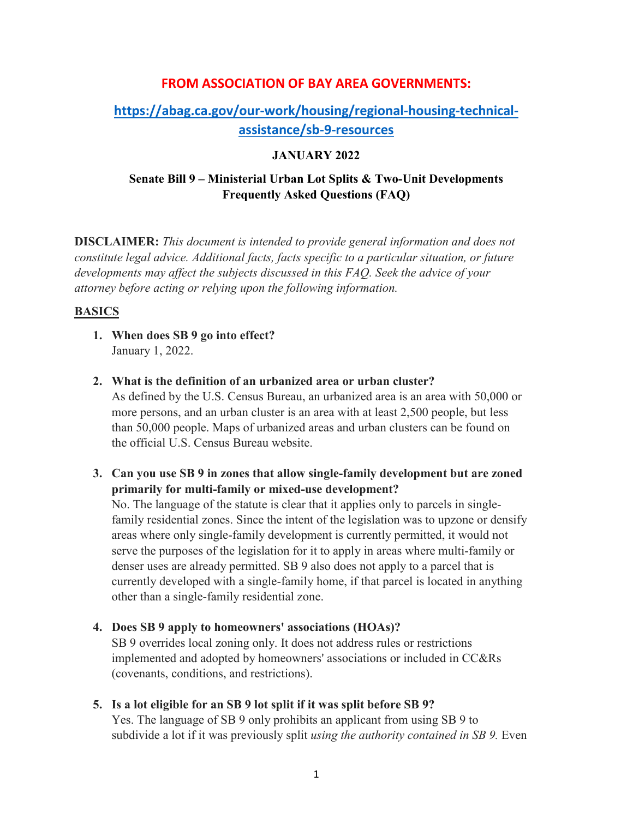## **FROM ASSOCIATION OF BAY AREA GOVERNMENTS:**

# **[https://abag.ca.gov/our-work/housing/regional-housing-technical](https://abag.ca.gov/our-work/housing/regional-housing-technical-assistance/sb-9-resources)[assistance/sb-9-resources](https://abag.ca.gov/our-work/housing/regional-housing-technical-assistance/sb-9-resources)**

### **JANUARY 2022**

## **Senate Bill 9 – Ministerial Urban Lot Splits & Two-Unit Developments Frequently Asked Questions (FAQ)**

**DISCLAIMER:** *This document is intended to provide general information and does not constitute legal advice. Additional facts, facts specific to a particular situation, or future developments may affect the subjects discussed in this FAQ. Seek the advice of your attorney before acting or relying upon the following information.*

### **BASICS**

- **1. When does SB 9 go into effect?** January 1, 2022.
- **2. What is the definition of an urbanized area or urban cluster?**

As defined by the U.S. Census Bureau, an urbanized area is an area with 50,000 or more persons, and an urban cluster is an area with at least 2,500 people, but less than 50,000 people. Maps of urbanized areas and urban clusters can be found on the official U.S. Census Bureau website.

**3. Can you use SB 9 in zones that allow single-family development but are zoned primarily for multi-family or mixed-use development?** 

No. The language of the statute is clear that it applies only to parcels in singlefamily residential zones. Since the intent of the legislation was to upzone or densify areas where only single-family development is currently permitted, it would not serve the purposes of the legislation for it to apply in areas where multi-family or denser uses are already permitted. SB 9 also does not apply to a parcel that is currently developed with a single-family home, if that parcel is located in anything other than a single-family residential zone.

- **4. Does SB 9 apply to homeowners' associations (HOAs)?**  SB 9 overrides local zoning only. It does not address rules or restrictions implemented and adopted by homeowners' associations or included in CC&Rs (covenants, conditions, and restrictions).
- **5. Is a lot eligible for an SB 9 lot split if it was split before SB 9?**

Yes. The language of SB 9 only prohibits an applicant from using SB 9 to subdivide a lot if it was previously split *using the authority contained in SB 9.* Even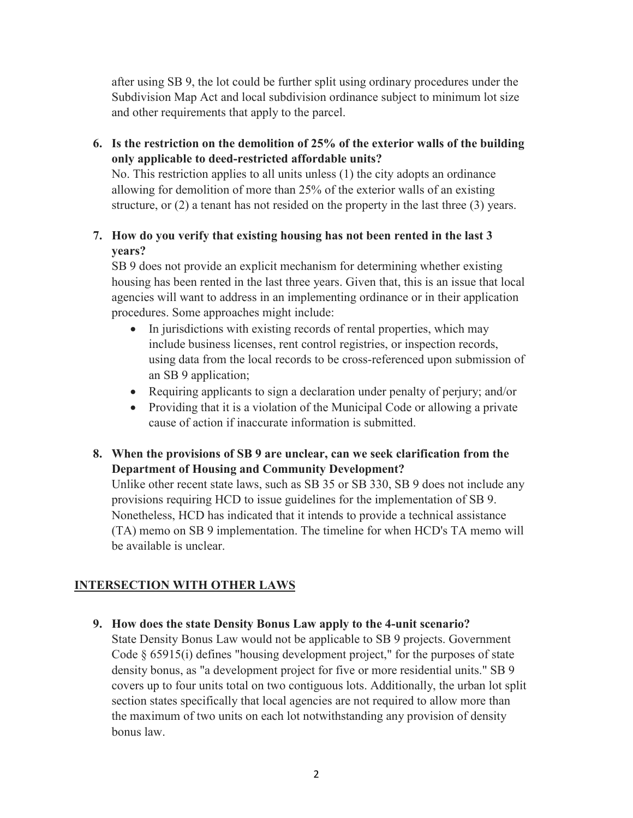after using SB 9, the lot could be further split using ordinary procedures under the Subdivision Map Act and local subdivision ordinance subject to minimum lot size and other requirements that apply to the parcel.

**6. Is the restriction on the demolition of 25% of the exterior walls of the building only applicable to deed-restricted affordable units?**

No. This restriction applies to all units unless (1) the city adopts an ordinance allowing for demolition of more than 25% of the exterior walls of an existing structure, or  $(2)$  a tenant has not resided on the property in the last three  $(3)$  years.

## **7. How do you verify that existing housing has not been rented in the last 3 years?**

SB 9 does not provide an explicit mechanism for determining whether existing housing has been rented in the last three years. Given that, this is an issue that local agencies will want to address in an implementing ordinance or in their application procedures. Some approaches might include:

- In jurisdictions with existing records of rental properties, which may include business licenses, rent control registries, or inspection records, using data from the local records to be cross-referenced upon submission of an SB 9 application;
- Requiring applicants to sign a declaration under penalty of perjury; and/or
- Providing that it is a violation of the Municipal Code or allowing a private cause of action if inaccurate information is submitted.

## **8. When the provisions of SB 9 are unclear, can we seek clarification from the Department of Housing and Community Development?**

Unlike other recent state laws, such as SB 35 or SB 330, SB 9 does not include any provisions requiring HCD to issue guidelines for the implementation of SB 9. Nonetheless, HCD has indicated that it intends to provide a technical assistance (TA) memo on SB 9 implementation. The timeline for when HCD's TA memo will be available is unclear.

## **INTERSECTION WITH OTHER LAWS**

**9. How does the state Density Bonus Law apply to the 4-unit scenario?**

State Density Bonus Law would not be applicable to SB 9 projects. Government Code § 65915(i) defines "housing development project," for the purposes of state density bonus, as "a development project for five or more residential units." SB 9 covers up to four units total on two contiguous lots. Additionally, the urban lot split section states specifically that local agencies are not required to allow more than the maximum of two units on each lot notwithstanding any provision of density bonus law.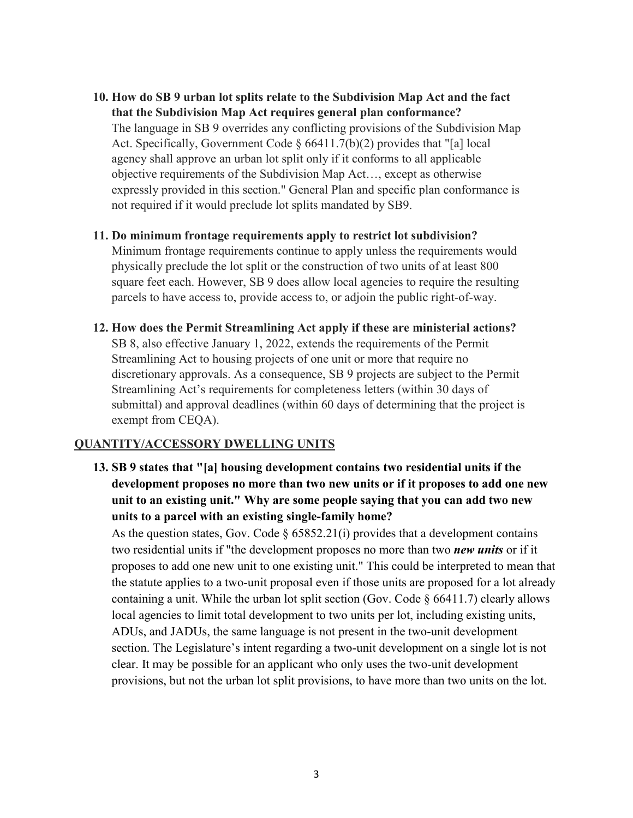- **10. How do SB 9 urban lot splits relate to the Subdivision Map Act and the fact that the Subdivision Map Act requires general plan conformance?** The language in SB 9 overrides any conflicting provisions of the Subdivision Map Act. Specifically, Government Code  $\S 66411.7(b)(2)$  provides that "[a] local agency shall approve an urban lot split only if it conforms to all applicable objective requirements of the Subdivision Map Act…, except as otherwise expressly provided in this section." General Plan and specific plan conformance is not required if it would preclude lot splits mandated by SB9.
- **11. Do minimum frontage requirements apply to restrict lot subdivision?** Minimum frontage requirements continue to apply unless the requirements would physically preclude the lot split or the construction of two units of at least 800 square feet each. However, SB 9 does allow local agencies to require the resulting parcels to have access to, provide access to, or adjoin the public right-of-way.
- **12. How does the Permit Streamlining Act apply if these are ministerial actions?** SB 8, also effective January 1, 2022, extends the requirements of the Permit Streamlining Act to housing projects of one unit or more that require no discretionary approvals. As a consequence, SB 9 projects are subject to the Permit Streamlining Act's requirements for completeness letters (within 30 days of submittal) and approval deadlines (within 60 days of determining that the project is exempt from CEQA).

### **QUANTITY/ACCESSORY DWELLING UNITS**

**13. SB 9 states that "[a] housing development contains two residential units if the development proposes no more than two new units or if it proposes to add one new unit to an existing unit." Why are some people saying that you can add two new units to a parcel with an existing single-family home?** 

As the question states, Gov. Code  $\S 65852.21(i)$  provides that a development contains two residential units if "the development proposes no more than two *new units* or if it proposes to add one new unit to one existing unit." This could be interpreted to mean that the statute applies to a two-unit proposal even if those units are proposed for a lot already containing a unit. While the urban lot split section (Gov. Code  $\S$  66411.7) clearly allows local agencies to limit total development to two units per lot, including existing units, ADUs, and JADUs, the same language is not present in the two-unit development section. The Legislature's intent regarding a two-unit development on a single lot is not clear. It may be possible for an applicant who only uses the two-unit development provisions, but not the urban lot split provisions, to have more than two units on the lot.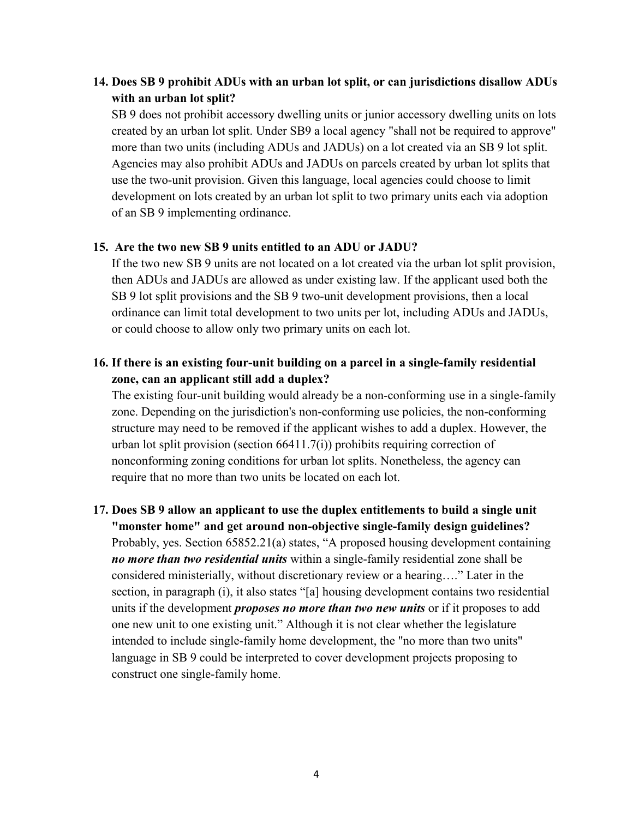## **14. Does SB 9 prohibit ADUs with an urban lot split, or can jurisdictions disallow ADUs with an urban lot split?**

SB 9 does not prohibit accessory dwelling units or junior accessory dwelling units on lots created by an urban lot split. Under SB9 a local agency "shall not be required to approve" more than two units (including ADUs and JADUs) on a lot created via an SB 9 lot split. Agencies may also prohibit ADUs and JADUs on parcels created by urban lot splits that use the two-unit provision. Given this language, local agencies could choose to limit development on lots created by an urban lot split to two primary units each via adoption of an SB 9 implementing ordinance.

### **15. Are the two new SB 9 units entitled to an ADU or JADU?**

If the two new SB 9 units are not located on a lot created via the urban lot split provision, then ADUs and JADUs are allowed as under existing law. If the applicant used both the SB 9 lot split provisions and the SB 9 two-unit development provisions, then a local ordinance can limit total development to two units per lot, including ADUs and JADUs, or could choose to allow only two primary units on each lot.

## **16. If there is an existing four-unit building on a parcel in a single-family residential zone, can an applicant still add a duplex?**

The existing four-unit building would already be a non-conforming use in a single-family zone. Depending on the jurisdiction's non-conforming use policies, the non-conforming structure may need to be removed if the applicant wishes to add a duplex. However, the urban lot split provision (section  $66411.7(i)$ ) prohibits requiring correction of nonconforming zoning conditions for urban lot splits. Nonetheless, the agency can require that no more than two units be located on each lot.

## **17. Does SB 9 allow an applicant to use the duplex entitlements to build a single unit "monster home" and get around non-objective single-family design guidelines?** Probably, yes. Section 65852.21(a) states, "A proposed housing development containing *no more than two residential units* within a single-family residential zone shall be considered ministerially, without discretionary review or a hearing…." Later in the section, in paragraph (i), it also states "[a] housing development contains two residential units if the development *proposes no more than two new units* or if it proposes to add one new unit to one existing unit." Although it is not clear whether the legislature intended to include single-family home development, the "no more than two units" language in SB 9 could be interpreted to cover development projects proposing to construct one single-family home.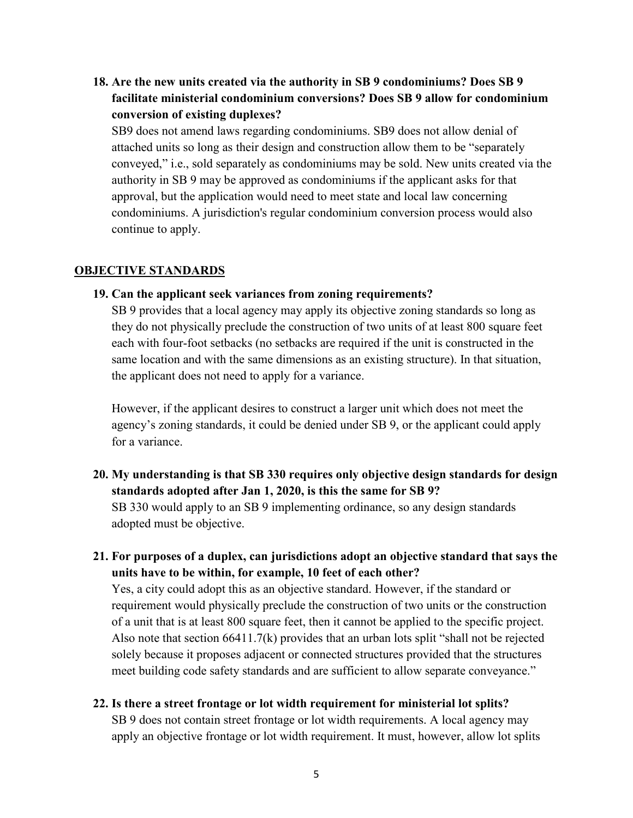**18. Are the new units created via the authority in SB 9 condominiums? Does SB 9 facilitate ministerial condominium conversions? Does SB 9 allow for condominium conversion of existing duplexes?**

SB9 does not amend laws regarding condominiums. SB9 does not allow denial of attached units so long as their design and construction allow them to be "separately conveyed," i.e., sold separately as condominiums may be sold. New units created via the authority in SB 9 may be approved as condominiums if the applicant asks for that approval, but the application would need to meet state and local law concerning condominiums. A jurisdiction's regular condominium conversion process would also continue to apply.

#### **OBJECTIVE STANDARDS**

#### **19. Can the applicant seek variances from zoning requirements?**

SB 9 provides that a local agency may apply its objective zoning standards so long as they do not physically preclude the construction of two units of at least 800 square feet each with four-foot setbacks (no setbacks are required if the unit is constructed in the same location and with the same dimensions as an existing structure). In that situation, the applicant does not need to apply for a variance.

However, if the applicant desires to construct a larger unit which does not meet the agency's zoning standards, it could be denied under SB 9, or the applicant could apply for a variance.

- **20. My understanding is that SB 330 requires only objective design standards for design standards adopted after Jan 1, 2020, is this the same for SB 9?** SB 330 would apply to an SB 9 implementing ordinance, so any design standards adopted must be objective.
- **21. For purposes of a duplex, can jurisdictions adopt an objective standard that says the units have to be within, for example, 10 feet of each other?**

Yes, a city could adopt this as an objective standard. However, if the standard or requirement would physically preclude the construction of two units or the construction of a unit that is at least 800 square feet, then it cannot be applied to the specific project. Also note that section  $66411.7(k)$  provides that an urban lots split "shall not be rejected solely because it proposes adjacent or connected structures provided that the structures meet building code safety standards and are sufficient to allow separate conveyance."

**22. Is there a street frontage or lot width requirement for ministerial lot splits?**

SB 9 does not contain street frontage or lot width requirements. A local agency may apply an objective frontage or lot width requirement. It must, however, allow lot splits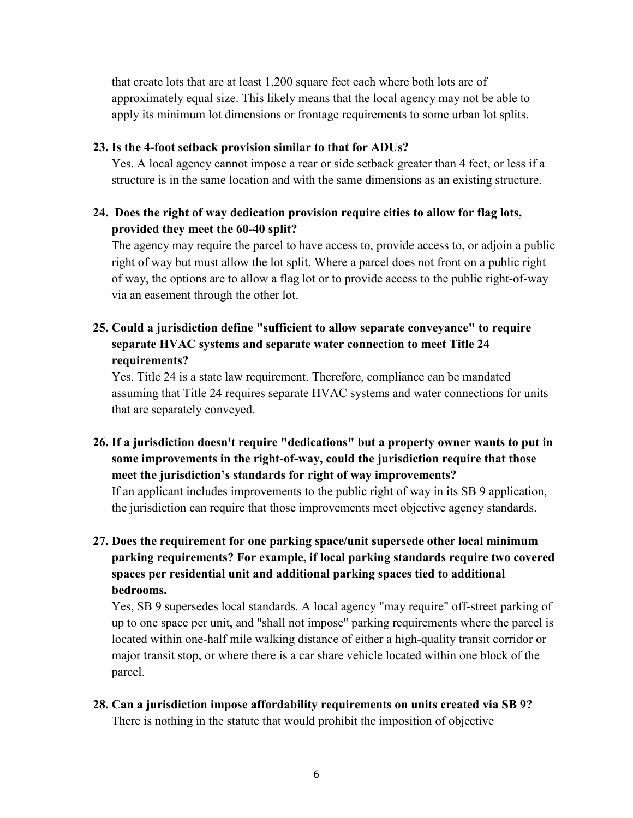that create lots that are at least 1,200 square feet each where both lots are of approximately equal size. This likely means that the local agency may not be able to apply its minimum lot dimensions or frontage requirements to some urban lot splits.

#### **23. Is the 4-foot setback provision similar to that for ADUs?**

Yes. A local agency cannot impose a rear or side setback greater than 4 feet, or less if a structure is in the same location and with the same dimensions as an existing structure.

## **24. Does the right of way dedication provision require cities to allow for flag lots, provided they meet the 60-40 split?**

The agency may require the parcel to have access to, provide access to, or adjoin a public right of way but must allow the lot split. Where a parcel does not front on a public right of way, the options are to allow a flag lot or to provide access to the public right-of-way via an easement through the other lot.

## **25. Could a jurisdiction define "sufficient to allow separate conveyance" to require separate HVAC systems and separate water connection to meet Title 24 requirements?**

Yes. Title 24 is a state law requirement. Therefore, compliance can be mandated assuming that Title 24 requires separate HVAC systems and water connections for units that are separately conveyed.

**26. If a jurisdiction doesn't require "dedications" but a property owner wants to put in some improvements in the right-of-way, could the jurisdiction require that those meet the jurisdiction's standards for right of way improvements?** If an applicant includes improvements to the public right of way in its SB 9 application,

the jurisdiction can require that those improvements meet objective agency standards.

## **27. Does the requirement for one parking space/unit supersede other local minimum parking requirements? For example, if local parking standards require two covered spaces per residential unit and additional parking spaces tied to additional bedrooms.**

Yes, SB 9 supersedes local standards. A local agency "may require" off-street parking of up to one space per unit, and "shall not impose" parking requirements where the parcel is located within one-half mile walking distance of either a high-quality transit corridor or major transit stop, or where there is a car share vehicle located within one block of the parcel.

**28. Can a jurisdiction impose affordability requirements on units created via SB 9?** There is nothing in the statute that would prohibit the imposition of objective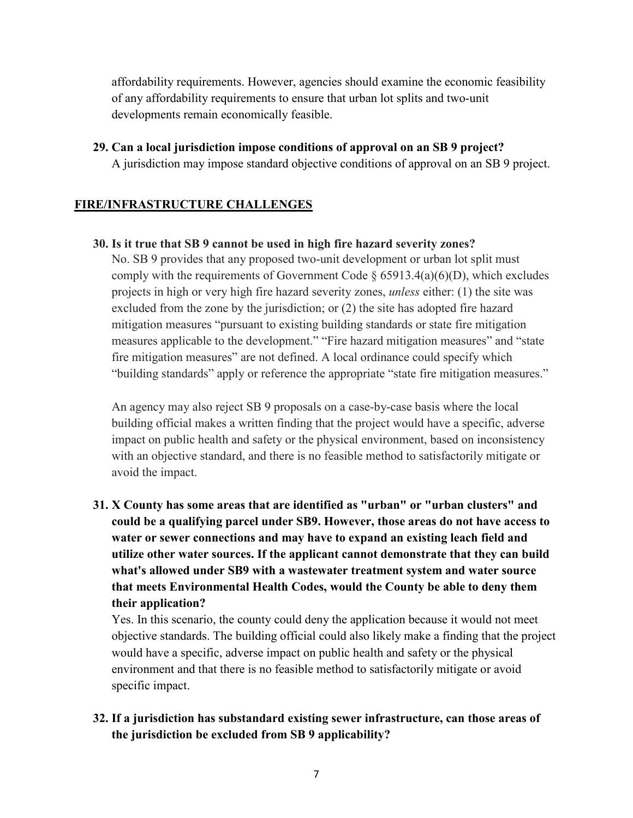affordability requirements. However, agencies should examine the economic feasibility of any affordability requirements to ensure that urban lot splits and two-unit developments remain economically feasible.

**29. Can a local jurisdiction impose conditions of approval on an SB 9 project?**

A jurisdiction may impose standard objective conditions of approval on an SB 9 project.

## **FIRE/INFRASTRUCTURE CHALLENGES**

### **30. Is it true that SB 9 cannot be used in high fire hazard severity zones?**

No. SB 9 provides that any proposed two-unit development or urban lot split must comply with the requirements of Government Code  $\S$  65913.4(a)(6)(D), which excludes projects in high or very high fire hazard severity zones, *unless* either: (1) the site was excluded from the zone by the jurisdiction; or (2) the site has adopted fire hazard mitigation measures "pursuant to existing building standards or state fire mitigation measures applicable to the development." "Fire hazard mitigation measures" and "state fire mitigation measures" are not defined. A local ordinance could specify which "building standards" apply or reference the appropriate "state fire mitigation measures."

An agency may also reject SB 9 proposals on a case-by-case basis where the local building official makes a written finding that the project would have a specific, adverse impact on public health and safety or the physical environment, based on inconsistency with an objective standard, and there is no feasible method to satisfactorily mitigate or avoid the impact.

**31. X County has some areas that are identified as "urban" or "urban clusters" and could be a qualifying parcel under SB9. However, those areas do not have access to water or sewer connections and may have to expand an existing leach field and utilize other water sources. If the applicant cannot demonstrate that they can build what's allowed under SB9 with a wastewater treatment system and water source that meets Environmental Health Codes, would the County be able to deny them their application?**

Yes. In this scenario, the county could deny the application because it would not meet objective standards. The building official could also likely make a finding that the project would have a specific, adverse impact on public health and safety or the physical environment and that there is no feasible method to satisfactorily mitigate or avoid specific impact.

## **32. If a jurisdiction has substandard existing sewer infrastructure, can those areas of the jurisdiction be excluded from SB 9 applicability?**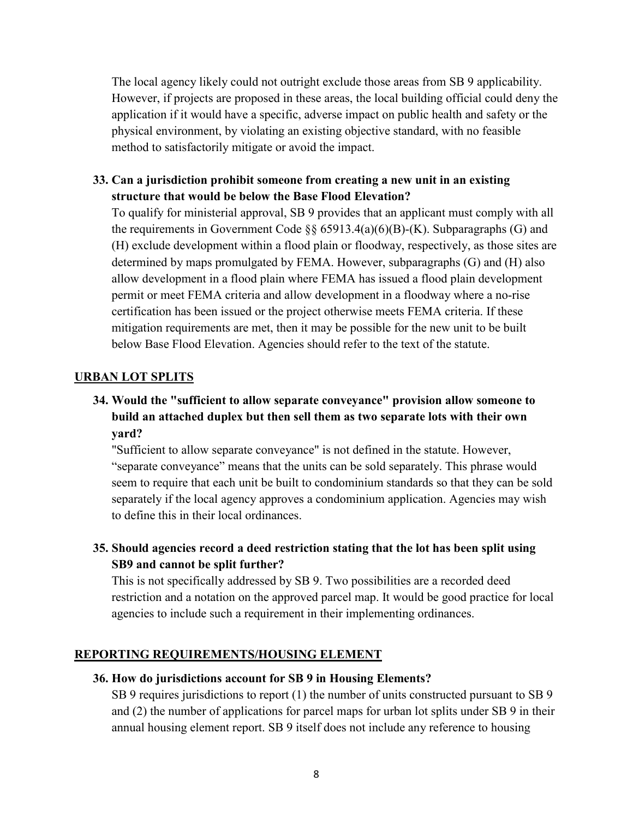The local agency likely could not outright exclude those areas from SB 9 applicability. However, if projects are proposed in these areas, the local building official could deny the application if it would have a specific, adverse impact on public health and safety or the physical environment, by violating an existing objective standard, with no feasible method to satisfactorily mitigate or avoid the impact.

**33. Can a jurisdiction prohibit someone from creating a new unit in an existing structure that would be below the Base Flood Elevation?**

To qualify for ministerial approval, SB 9 provides that an applicant must comply with all the requirements in Government Code §§ 65913.4(a)(6)(B)-(K). Subparagraphs (G) and (H) exclude development within a flood plain or floodway, respectively, as those sites are determined by maps promulgated by FEMA. However, subparagraphs (G) and (H) also allow development in a flood plain where FEMA has issued a flood plain development permit or meet FEMA criteria and allow development in a floodway where a no-rise certification has been issued or the project otherwise meets FEMA criteria. If these mitigation requirements are met, then it may be possible for the new unit to be built below Base Flood Elevation. Agencies should refer to the text of the statute.

### **URBAN LOT SPLITS**

## **34. Would the "sufficient to allow separate conveyance" provision allow someone to build an attached duplex but then sell them as two separate lots with their own yard?**

"Sufficient to allow separate conveyance" is not defined in the statute. However, "separate conveyance" means that the units can be sold separately. This phrase would seem to require that each unit be built to condominium standards so that they can be sold separately if the local agency approves a condominium application. Agencies may wish to define this in their local ordinances.

**35. Should agencies record a deed restriction stating that the lot has been split using SB9 and cannot be split further?**

This is not specifically addressed by SB 9. Two possibilities are a recorded deed restriction and a notation on the approved parcel map. It would be good practice for local agencies to include such a requirement in their implementing ordinances.

## **REPORTING REQUIREMENTS/HOUSING ELEMENT**

## **36. How do jurisdictions account for SB 9 in Housing Elements?**

SB 9 requires jurisdictions to report (1) the number of units constructed pursuant to SB 9 and (2) the number of applications for parcel maps for urban lot splits under SB 9 in their annual housing element report. SB 9 itself does not include any reference to housing